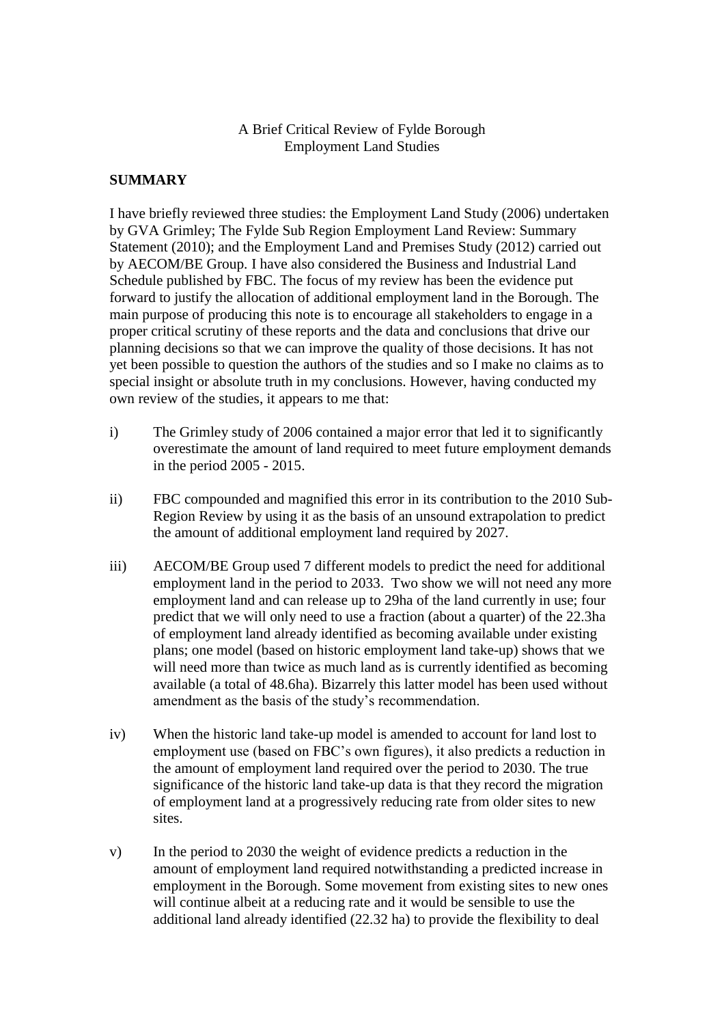### A Brief Critical Review of Fylde Borough Employment Land Studies

### **SUMMARY**

I have briefly reviewed three studies: the Employment Land Study (2006) undertaken by GVA Grimley; The Fylde Sub Region Employment Land Review: Summary Statement (2010); and the Employment Land and Premises Study (2012) carried out by AECOM/BE Group. I have also considered the Business and Industrial Land Schedule published by FBC. The focus of my review has been the evidence put forward to justify the allocation of additional employment land in the Borough. The main purpose of producing this note is to encourage all stakeholders to engage in a proper critical scrutiny of these reports and the data and conclusions that drive our planning decisions so that we can improve the quality of those decisions. It has not yet been possible to question the authors of the studies and so I make no claims as to special insight or absolute truth in my conclusions. However, having conducted my own review of the studies, it appears to me that:

- i) The Grimley study of 2006 contained a major error that led it to significantly overestimate the amount of land required to meet future employment demands in the period 2005 - 2015.
- ii) FBC compounded and magnified this error in its contribution to the 2010 Sub-Region Review by using it as the basis of an unsound extrapolation to predict the amount of additional employment land required by 2027.
- iii) AECOM/BE Group used 7 different models to predict the need for additional employment land in the period to 2033. Two show we will not need any more employment land and can release up to 29ha of the land currently in use; four predict that we will only need to use a fraction (about a quarter) of the 22.3ha of employment land already identified as becoming available under existing plans; one model (based on historic employment land take-up) shows that we will need more than twice as much land as is currently identified as becoming available (a total of 48.6ha). Bizarrely this latter model has been used without amendment as the basis of the study's recommendation.
- iv) When the historic land take-up model is amended to account for land lost to employment use (based on FBC's own figures), it also predicts a reduction in the amount of employment land required over the period to 2030. The true significance of the historic land take-up data is that they record the migration of employment land at a progressively reducing rate from older sites to new sites.
- v) In the period to 2030 the weight of evidence predicts a reduction in the amount of employment land required notwithstanding a predicted increase in employment in the Borough. Some movement from existing sites to new ones will continue albeit at a reducing rate and it would be sensible to use the additional land already identified (22.32 ha) to provide the flexibility to deal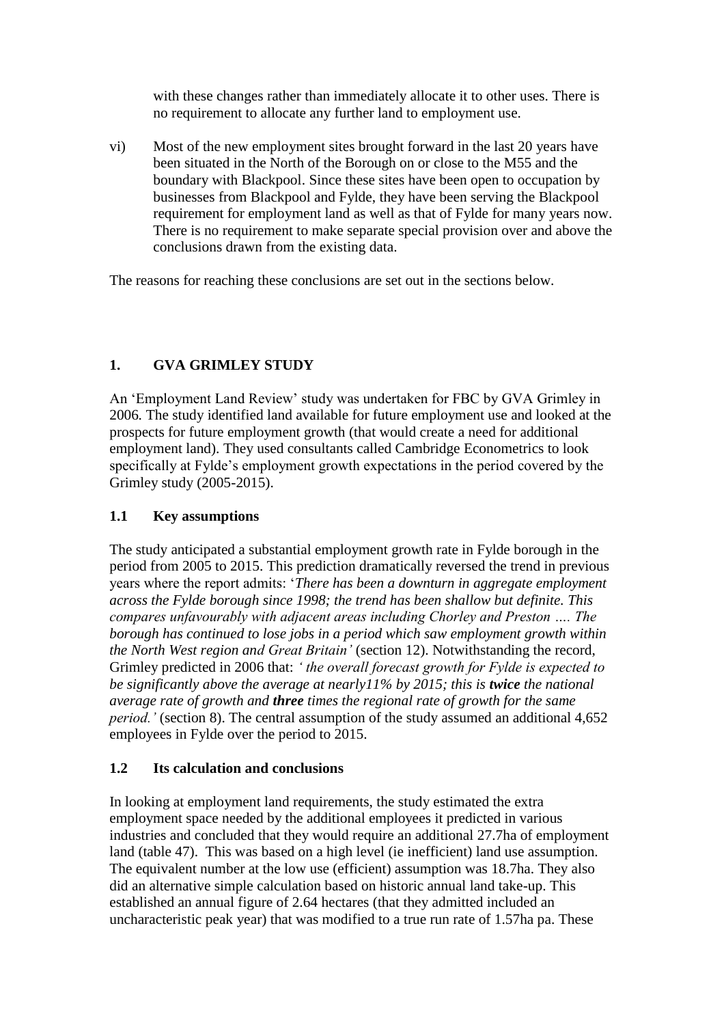with these changes rather than immediately allocate it to other uses. There is no requirement to allocate any further land to employment use.

vi) Most of the new employment sites brought forward in the last 20 years have been situated in the North of the Borough on or close to the M55 and the boundary with Blackpool. Since these sites have been open to occupation by businesses from Blackpool and Fylde, they have been serving the Blackpool requirement for employment land as well as that of Fylde for many years now. There is no requirement to make separate special provision over and above the conclusions drawn from the existing data.

The reasons for reaching these conclusions are set out in the sections below.

# **1. GVA GRIMLEY STUDY**

An 'Employment Land Review' study was undertaken for FBC by GVA Grimley in 2006*.* The study identified land available for future employment use and looked at the prospects for future employment growth (that would create a need for additional employment land). They used consultants called Cambridge Econometrics to look specifically at Fylde's employment growth expectations in the period covered by the Grimley study (2005-2015).

# **1.1 Key assumptions**

The study anticipated a substantial employment growth rate in Fylde borough in the period from 2005 to 2015. This prediction dramatically reversed the trend in previous years where the report admits: '*There has been a downturn in aggregate employment across the Fylde borough since 1998; the trend has been shallow but definite. This compares unfavourably with adjacent areas including Chorley and Preston …. The borough has continued to lose jobs in a period which saw employment growth within the North West region and Great Britain'* (section 12). Notwithstanding the record, Grimley predicted in 2006 that: *' the overall forecast growth for Fylde is expected to be significantly above the average at nearly11% by 2015; this is twice the national average rate of growth and three times the regional rate of growth for the same period.'* (section 8). The central assumption of the study assumed an additional 4,652 employees in Fylde over the period to 2015.

# **1.2 Its calculation and conclusions**

In looking at employment land requirements, the study estimated the extra employment space needed by the additional employees it predicted in various industries and concluded that they would require an additional 27.7ha of employment land (table 47). This was based on a high level (ie inefficient) land use assumption. The equivalent number at the low use (efficient) assumption was 18.7ha. They also did an alternative simple calculation based on historic annual land take-up. This established an annual figure of 2.64 hectares (that they admitted included an uncharacteristic peak year) that was modified to a true run rate of 1.57ha pa. These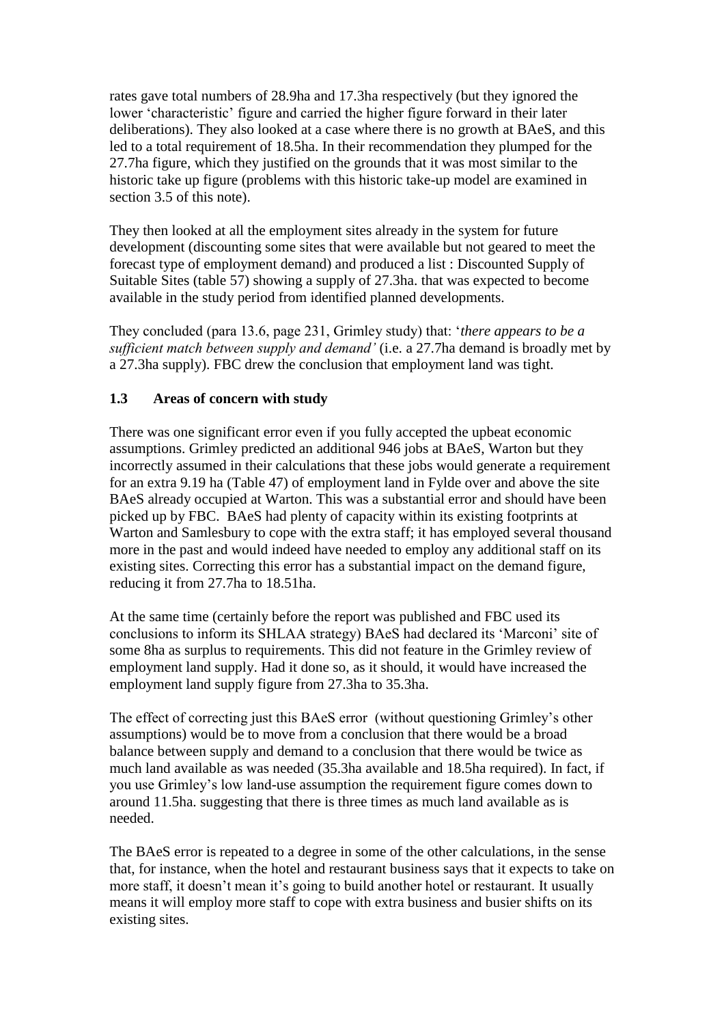rates gave total numbers of 28.9ha and 17.3ha respectively (but they ignored the lower 'characteristic' figure and carried the higher figure forward in their later deliberations). They also looked at a case where there is no growth at BAeS, and this led to a total requirement of 18.5ha. In their recommendation they plumped for the 27.7ha figure, which they justified on the grounds that it was most similar to the historic take up figure (problems with this historic take-up model are examined in section 3.5 of this note).

They then looked at all the employment sites already in the system for future development (discounting some sites that were available but not geared to meet the forecast type of employment demand) and produced a list : Discounted Supply of Suitable Sites (table 57) showing a supply of 27.3ha. that was expected to become available in the study period from identified planned developments.

They concluded (para 13.6, page 231, Grimley study) that: '*there appears to be a sufficient match between supply and demand'* (i.e. a 27.7ha demand is broadly met by a 27.3ha supply). FBC drew the conclusion that employment land was tight.

# **1.3 Areas of concern with study**

There was one significant error even if you fully accepted the upbeat economic assumptions. Grimley predicted an additional 946 jobs at BAeS, Warton but they incorrectly assumed in their calculations that these jobs would generate a requirement for an extra 9.19 ha (Table 47) of employment land in Fylde over and above the site BAeS already occupied at Warton. This was a substantial error and should have been picked up by FBC. BAeS had plenty of capacity within its existing footprints at Warton and Samlesbury to cope with the extra staff; it has employed several thousand more in the past and would indeed have needed to employ any additional staff on its existing sites. Correcting this error has a substantial impact on the demand figure, reducing it from 27.7ha to 18.51ha.

At the same time (certainly before the report was published and FBC used its conclusions to inform its SHLAA strategy) BAeS had declared its 'Marconi' site of some 8ha as surplus to requirements. This did not feature in the Grimley review of employment land supply. Had it done so, as it should, it would have increased the employment land supply figure from 27.3ha to 35.3ha.

The effect of correcting just this BAeS error (without questioning Grimley's other assumptions) would be to move from a conclusion that there would be a broad balance between supply and demand to a conclusion that there would be twice as much land available as was needed (35.3ha available and 18.5ha required). In fact, if you use Grimley's low land-use assumption the requirement figure comes down to around 11.5ha. suggesting that there is three times as much land available as is needed.

The BAeS error is repeated to a degree in some of the other calculations, in the sense that, for instance, when the hotel and restaurant business says that it expects to take on more staff, it doesn't mean it's going to build another hotel or restaurant. It usually means it will employ more staff to cope with extra business and busier shifts on its existing sites.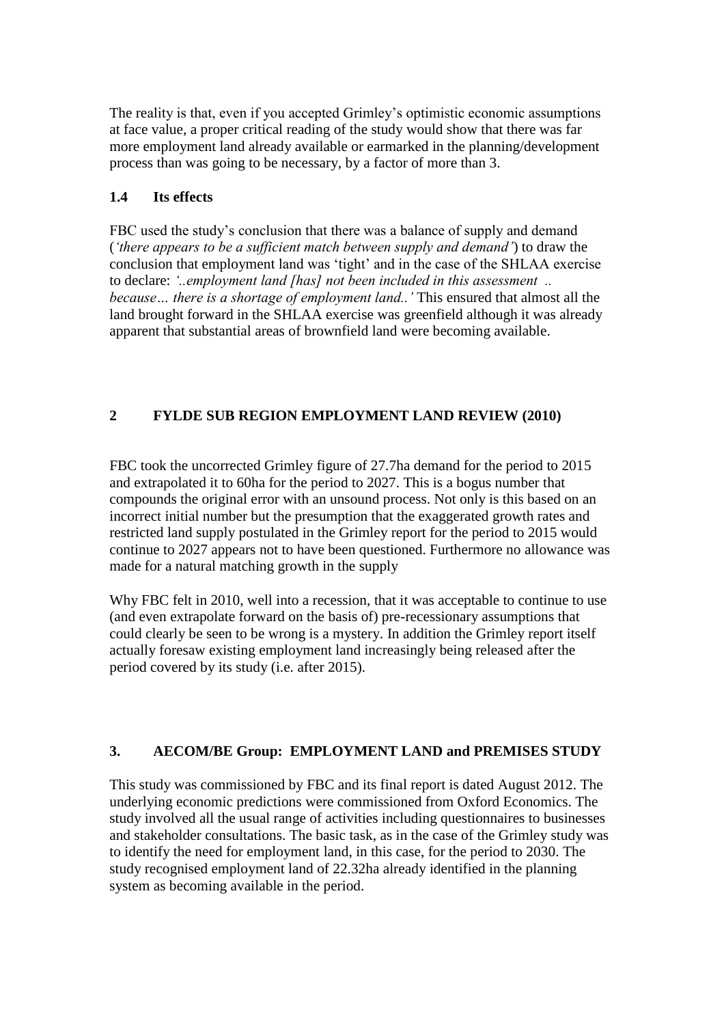The reality is that, even if you accepted Grimley's optimistic economic assumptions at face value, a proper critical reading of the study would show that there was far more employment land already available or earmarked in the planning/development process than was going to be necessary, by a factor of more than 3.

# **1.4 Its effects**

FBC used the study's conclusion that there was a balance of supply and demand (*'there appears to be a sufficient match between supply and demand'*) to draw the conclusion that employment land was 'tight' and in the case of the SHLAA exercise to declare: *'..employment land [has] not been included in this assessment .. because… there is a shortage of employment land..'* This ensured that almost all the land brought forward in the SHLAA exercise was greenfield although it was already apparent that substantial areas of brownfield land were becoming available.

# **2 FYLDE SUB REGION EMPLOYMENT LAND REVIEW (2010)**

FBC took the uncorrected Grimley figure of 27.7ha demand for the period to 2015 and extrapolated it to 60ha for the period to 2027. This is a bogus number that compounds the original error with an unsound process. Not only is this based on an incorrect initial number but the presumption that the exaggerated growth rates and restricted land supply postulated in the Grimley report for the period to 2015 would continue to 2027 appears not to have been questioned. Furthermore no allowance was made for a natural matching growth in the supply

Why FBC felt in 2010, well into a recession, that it was acceptable to continue to use (and even extrapolate forward on the basis of) pre-recessionary assumptions that could clearly be seen to be wrong is a mystery. In addition the Grimley report itself actually foresaw existing employment land increasingly being released after the period covered by its study (i.e. after 2015).

# **3. AECOM/BE Group: EMPLOYMENT LAND and PREMISES STUDY**

This study was commissioned by FBC and its final report is dated August 2012. The underlying economic predictions were commissioned from Oxford Economics. The study involved all the usual range of activities including questionnaires to businesses and stakeholder consultations. The basic task, as in the case of the Grimley study was to identify the need for employment land, in this case, for the period to 2030. The study recognised employment land of 22.32ha already identified in the planning system as becoming available in the period.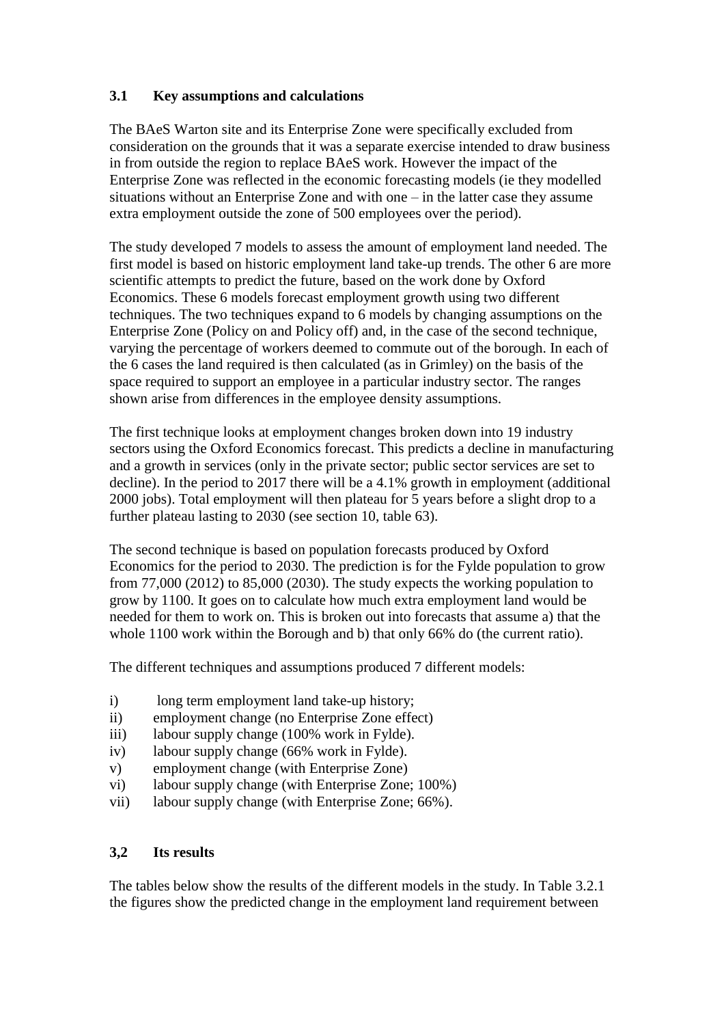# **3.1 Key assumptions and calculations**

The BAeS Warton site and its Enterprise Zone were specifically excluded from consideration on the grounds that it was a separate exercise intended to draw business in from outside the region to replace BAeS work. However the impact of the Enterprise Zone was reflected in the economic forecasting models (ie they modelled situations without an Enterprise Zone and with one – in the latter case they assume extra employment outside the zone of 500 employees over the period).

The study developed 7 models to assess the amount of employment land needed. The first model is based on historic employment land take-up trends. The other 6 are more scientific attempts to predict the future, based on the work done by Oxford Economics. These 6 models forecast employment growth using two different techniques. The two techniques expand to 6 models by changing assumptions on the Enterprise Zone (Policy on and Policy off) and, in the case of the second technique, varying the percentage of workers deemed to commute out of the borough. In each of the 6 cases the land required is then calculated (as in Grimley) on the basis of the space required to support an employee in a particular industry sector. The ranges shown arise from differences in the employee density assumptions.

The first technique looks at employment changes broken down into 19 industry sectors using the Oxford Economics forecast. This predicts a decline in manufacturing and a growth in services (only in the private sector; public sector services are set to decline). In the period to 2017 there will be a 4.1% growth in employment (additional 2000 jobs). Total employment will then plateau for 5 years before a slight drop to a further plateau lasting to 2030 (see section 10, table 63).

The second technique is based on population forecasts produced by Oxford Economics for the period to 2030. The prediction is for the Fylde population to grow from 77,000 (2012) to 85,000 (2030). The study expects the working population to grow by 1100. It goes on to calculate how much extra employment land would be needed for them to work on. This is broken out into forecasts that assume a) that the whole 1100 work within the Borough and b) that only 66% do (the current ratio).

The different techniques and assumptions produced 7 different models:

- i) long term employment land take-up history;
- ii) employment change (no Enterprise Zone effect)
- iii) labour supply change (100% work in Fylde).
- iv) labour supply change (66% work in Fylde).
- v) employment change (with Enterprise Zone)
- vi) labour supply change (with Enterprise Zone; 100%)
- vii) labour supply change (with Enterprise Zone; 66%).

# **3,2 Its results**

The tables below show the results of the different models in the study. In Table 3.2.1 the figures show the predicted change in the employment land requirement between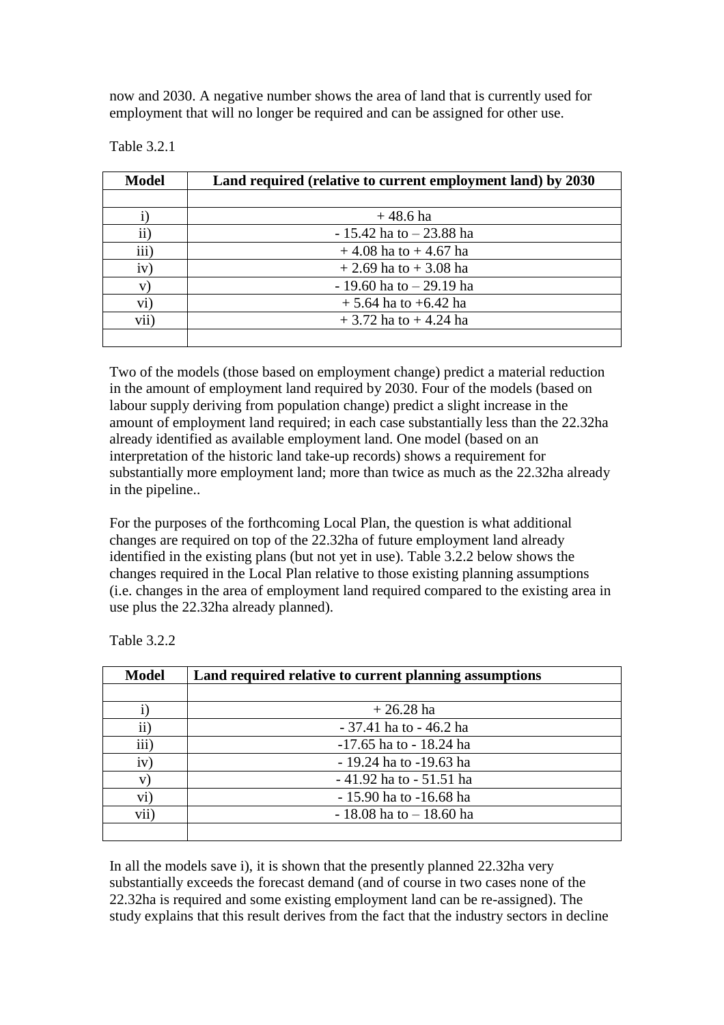now and 2030. A negative number shows the area of land that is currently used for employment that will no longer be required and can be assigned for other use.

| <b>Model</b> | Land required (relative to current employment land) by 2030 |  |  |  |
|--------------|-------------------------------------------------------------|--|--|--|
|              | $+48.6$ ha                                                  |  |  |  |
| $\rm ii)$    | $-15.42$ ha to $-23.88$ ha                                  |  |  |  |
| iii)         | $+4.08$ ha to $+4.67$ ha                                    |  |  |  |
| iv)          | $+2.69$ ha to $+3.08$ ha                                    |  |  |  |
| V)           | $-19.60$ ha to $-29.19$ ha                                  |  |  |  |
| $\rm vi)$    | $+ 5.64$ ha to $+6.42$ ha                                   |  |  |  |
| vii)         | $+3.72$ ha to $+4.24$ ha                                    |  |  |  |
|              |                                                             |  |  |  |

Table 3.2.1

Two of the models (those based on employment change) predict a material reduction in the amount of employment land required by 2030. Four of the models (based on labour supply deriving from population change) predict a slight increase in the amount of employment land required; in each case substantially less than the 22.32ha already identified as available employment land. One model (based on an interpretation of the historic land take-up records) shows a requirement for substantially more employment land; more than twice as much as the 22.32ha already in the pipeline..

For the purposes of the forthcoming Local Plan, the question is what additional changes are required on top of the 22.32ha of future employment land already identified in the existing plans (but not yet in use). Table 3.2.2 below shows the changes required in the Local Plan relative to those existing planning assumptions (i.e. changes in the area of employment land required compared to the existing area in use plus the 22.32ha already planned).

| <b>Model</b><br>Land required relative to current planning assumptions |                            |  |  |  |  |  |
|------------------------------------------------------------------------|----------------------------|--|--|--|--|--|
|                                                                        |                            |  |  |  |  |  |
|                                                                        | $+26.28$ ha                |  |  |  |  |  |
| $\rm ii)$                                                              | - 37.41 ha to - 46.2 ha    |  |  |  |  |  |
| iii)                                                                   | $-17.65$ ha to $-18.24$ ha |  |  |  |  |  |
| iv)                                                                    | - 19.24 ha to -19.63 ha    |  |  |  |  |  |
| V)                                                                     | - 41.92 ha to - 51.51 ha   |  |  |  |  |  |
| vi)                                                                    | - 15.90 ha to -16.68 ha    |  |  |  |  |  |
| vii)                                                                   | $-18.08$ ha to $-18.60$ ha |  |  |  |  |  |
|                                                                        |                            |  |  |  |  |  |

Table 3.2.2

In all the models save i), it is shown that the presently planned 22.32ha very substantially exceeds the forecast demand (and of course in two cases none of the 22.32ha is required and some existing employment land can be re-assigned). The study explains that this result derives from the fact that the industry sectors in decline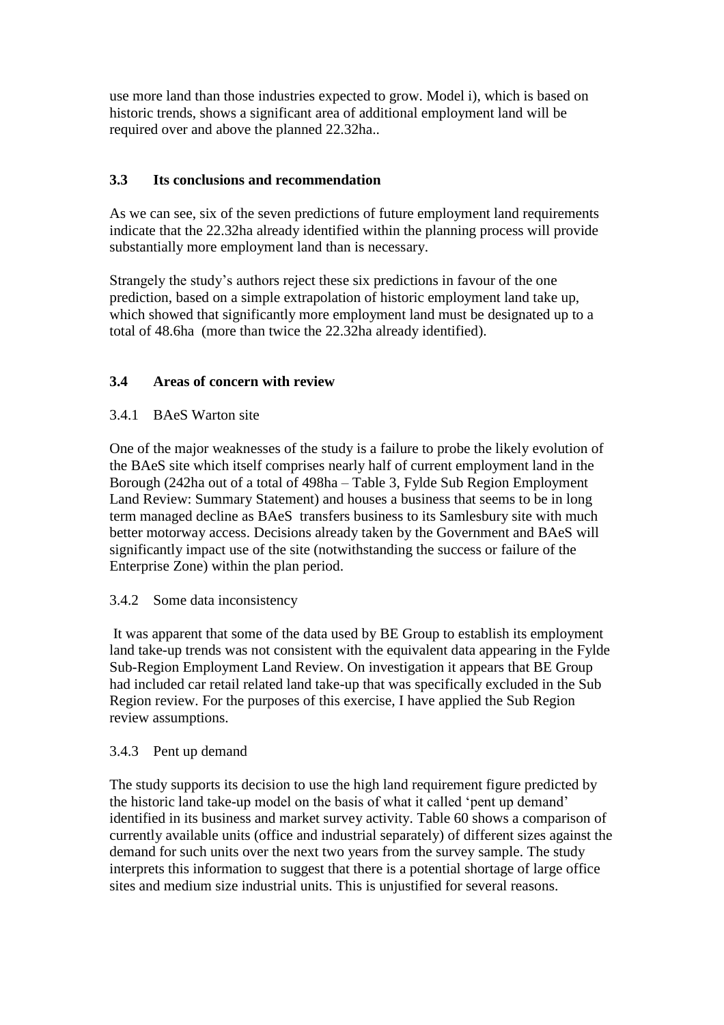use more land than those industries expected to grow. Model i), which is based on historic trends, shows a significant area of additional employment land will be required over and above the planned 22.32ha..

# **3.3 Its conclusions and recommendation**

As we can see, six of the seven predictions of future employment land requirements indicate that the 22.32ha already identified within the planning process will provide substantially more employment land than is necessary.

Strangely the study's authors reject these six predictions in favour of the one prediction, based on a simple extrapolation of historic employment land take up, which showed that significantly more employment land must be designated up to a total of 48.6ha (more than twice the 22.32ha already identified).

# **3.4 Areas of concern with review**

# 3.4.1 BAeS Warton site

One of the major weaknesses of the study is a failure to probe the likely evolution of the BAeS site which itself comprises nearly half of current employment land in the Borough (242ha out of a total of 498ha – Table 3, Fylde Sub Region Employment Land Review: Summary Statement) and houses a business that seems to be in long term managed decline as BAeS transfers business to its Samlesbury site with much better motorway access. Decisions already taken by the Government and BAeS will significantly impact use of the site (notwithstanding the success or failure of the Enterprise Zone) within the plan period.

#### 3.4.2 Some data inconsistency

It was apparent that some of the data used by BE Group to establish its employment land take-up trends was not consistent with the equivalent data appearing in the Fylde Sub-Region Employment Land Review. On investigation it appears that BE Group had included car retail related land take-up that was specifically excluded in the Sub Region review. For the purposes of this exercise, I have applied the Sub Region review assumptions.

#### 3.4.3 Pent up demand

The study supports its decision to use the high land requirement figure predicted by the historic land take-up model on the basis of what it called 'pent up demand' identified in its business and market survey activity. Table 60 shows a comparison of currently available units (office and industrial separately) of different sizes against the demand for such units over the next two years from the survey sample. The study interprets this information to suggest that there is a potential shortage of large office sites and medium size industrial units. This is unjustified for several reasons.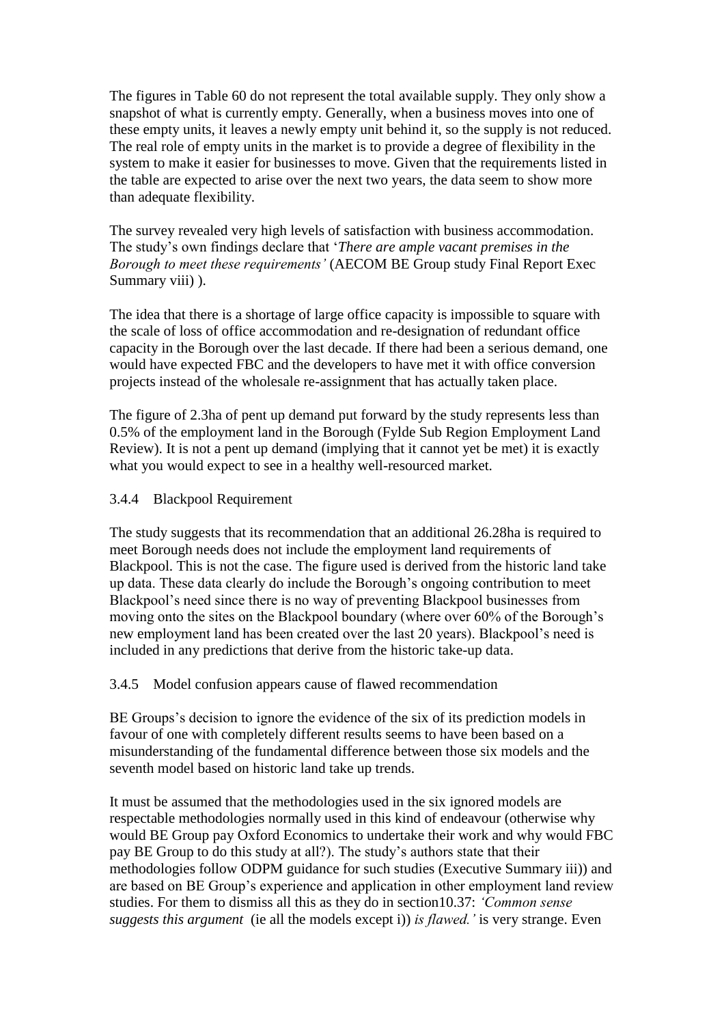The figures in Table 60 do not represent the total available supply. They only show a snapshot of what is currently empty. Generally, when a business moves into one of these empty units, it leaves a newly empty unit behind it, so the supply is not reduced. The real role of empty units in the market is to provide a degree of flexibility in the system to make it easier for businesses to move. Given that the requirements listed in the table are expected to arise over the next two years, the data seem to show more than adequate flexibility.

The survey revealed very high levels of satisfaction with business accommodation. The study's own findings declare that '*There are ample vacant premises in the Borough to meet these requirements'* (AECOM BE Group study Final Report Exec Summary viii) ).

The idea that there is a shortage of large office capacity is impossible to square with the scale of loss of office accommodation and re-designation of redundant office capacity in the Borough over the last decade. If there had been a serious demand, one would have expected FBC and the developers to have met it with office conversion projects instead of the wholesale re-assignment that has actually taken place.

The figure of 2.3ha of pent up demand put forward by the study represents less than 0.5% of the employment land in the Borough (Fylde Sub Region Employment Land Review). It is not a pent up demand (implying that it cannot yet be met) it is exactly what you would expect to see in a healthy well-resourced market.

#### 3.4.4 Blackpool Requirement

The study suggests that its recommendation that an additional 26.28ha is required to meet Borough needs does not include the employment land requirements of Blackpool. This is not the case. The figure used is derived from the historic land take up data. These data clearly do include the Borough's ongoing contribution to meet Blackpool's need since there is no way of preventing Blackpool businesses from moving onto the sites on the Blackpool boundary (where over 60% of the Borough's new employment land has been created over the last 20 years). Blackpool's need is included in any predictions that derive from the historic take-up data.

3.4.5 Model confusion appears cause of flawed recommendation

BE Groups's decision to ignore the evidence of the six of its prediction models in favour of one with completely different results seems to have been based on a misunderstanding of the fundamental difference between those six models and the seventh model based on historic land take up trends.

It must be assumed that the methodologies used in the six ignored models are respectable methodologies normally used in this kind of endeavour (otherwise why would BE Group pay Oxford Economics to undertake their work and why would FBC pay BE Group to do this study at all?). The study's authors state that their methodologies follow ODPM guidance for such studies (Executive Summary iii)) and are based on BE Group's experience and application in other employment land review studies. For them to dismiss all this as they do in section10.37: *'Common sense suggests this argument* (ie all the models except i)) *is flawed.'* is very strange. Even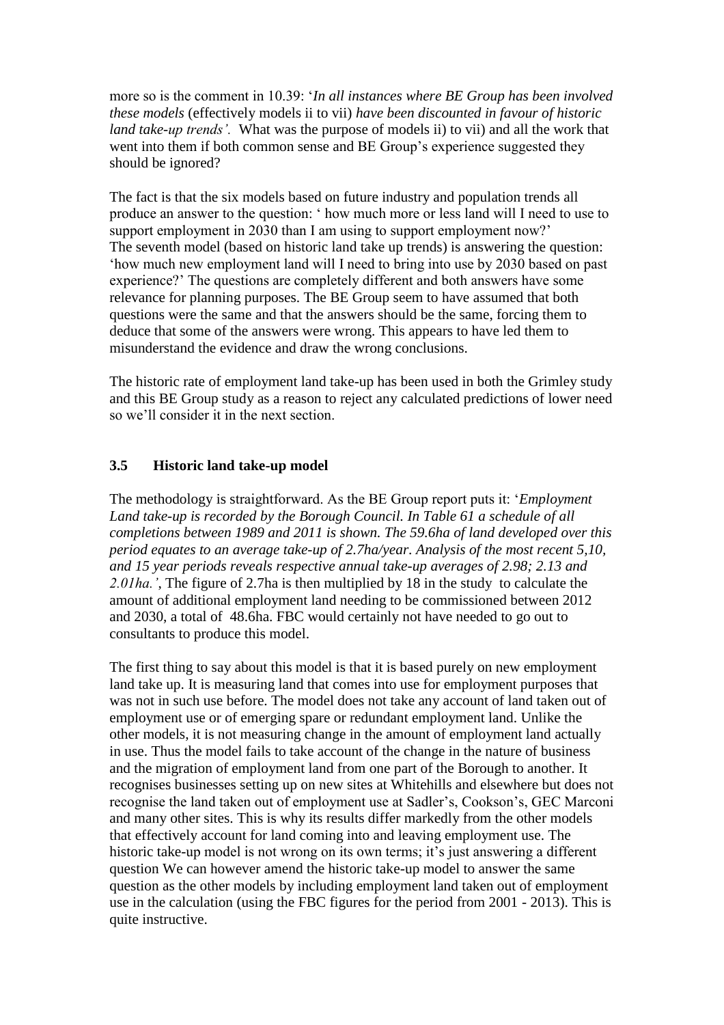more so is the comment in 10.39: '*In all instances where BE Group has been involved these models* (effectively models ii to vii) *have been discounted in favour of historic land take-up trends'.* What was the purpose of models ii) to vii) and all the work that went into them if both common sense and BE Group's experience suggested they should be ignored?

The fact is that the six models based on future industry and population trends all produce an answer to the question: ' how much more or less land will I need to use to support employment in 2030 than I am using to support employment now?' The seventh model (based on historic land take up trends) is answering the question: 'how much new employment land will I need to bring into use by 2030 based on past experience?' The questions are completely different and both answers have some relevance for planning purposes. The BE Group seem to have assumed that both questions were the same and that the answers should be the same, forcing them to deduce that some of the answers were wrong. This appears to have led them to misunderstand the evidence and draw the wrong conclusions.

The historic rate of employment land take-up has been used in both the Grimley study and this BE Group study as a reason to reject any calculated predictions of lower need so we'll consider it in the next section.

# **3.5 Historic land take-up model**

The methodology is straightforward. As the BE Group report puts it: '*Employment Land take-up is recorded by the Borough Council. In Table 61 a schedule of all completions between 1989 and 2011 is shown. The 59.6ha of land developed over this period equates to an average take-up of 2.7ha/year. Analysis of the most recent 5,10, and 15 year periods reveals respective annual take-up averages of 2.98; 2.13 and 2.01ha.'*, The figure of 2.7ha is then multiplied by 18 in the study to calculate the amount of additional employment land needing to be commissioned between 2012 and 2030, a total of 48.6ha. FBC would certainly not have needed to go out to consultants to produce this model.

The first thing to say about this model is that it is based purely on new employment land take up. It is measuring land that comes into use for employment purposes that was not in such use before. The model does not take any account of land taken out of employment use or of emerging spare or redundant employment land. Unlike the other models, it is not measuring change in the amount of employment land actually in use. Thus the model fails to take account of the change in the nature of business and the migration of employment land from one part of the Borough to another. It recognises businesses setting up on new sites at Whitehills and elsewhere but does not recognise the land taken out of employment use at Sadler's, Cookson's, GEC Marconi and many other sites. This is why its results differ markedly from the other models that effectively account for land coming into and leaving employment use. The historic take-up model is not wrong on its own terms; it's just answering a different question We can however amend the historic take-up model to answer the same question as the other models by including employment land taken out of employment use in the calculation (using the FBC figures for the period from 2001 - 2013). This is quite instructive.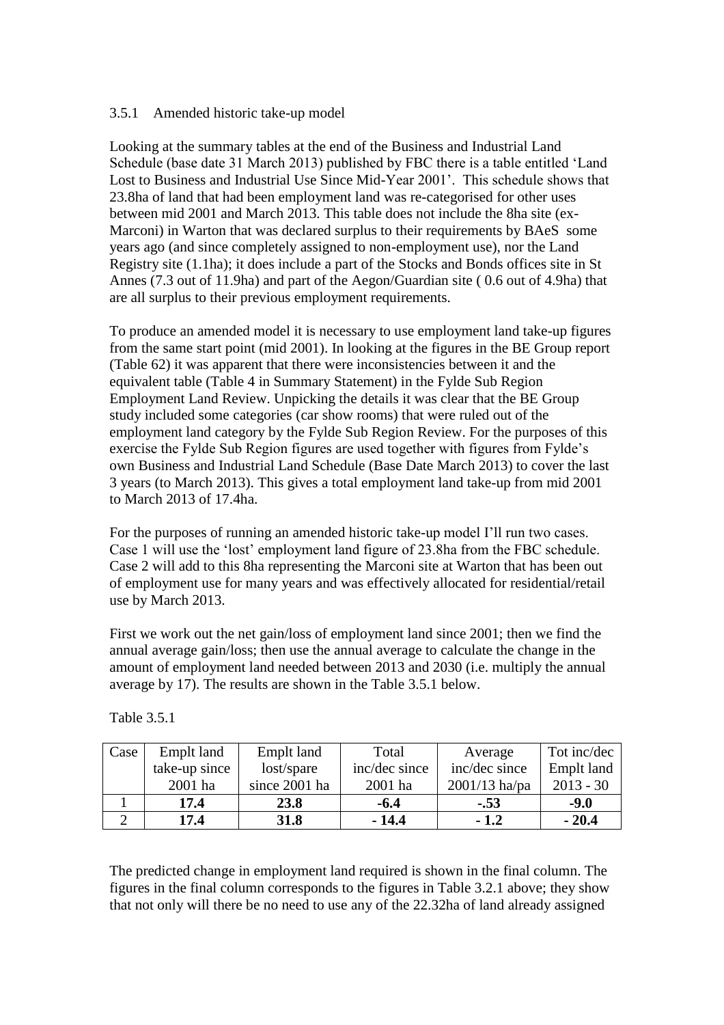#### 3.5.1 Amended historic take-up model

Looking at the summary tables at the end of the Business and Industrial Land Schedule (base date 31 March 2013) published by FBC there is a table entitled 'Land Lost to Business and Industrial Use Since Mid-Year 2001'. This schedule shows that 23.8ha of land that had been employment land was re-categorised for other uses between mid 2001 and March 2013. This table does not include the 8ha site (ex-Marconi) in Warton that was declared surplus to their requirements by BAeS some years ago (and since completely assigned to non-employment use), nor the Land Registry site (1.1ha); it does include a part of the Stocks and Bonds offices site in St Annes (7.3 out of 11.9ha) and part of the Aegon/Guardian site ( 0.6 out of 4.9ha) that are all surplus to their previous employment requirements.

To produce an amended model it is necessary to use employment land take-up figures from the same start point (mid 2001). In looking at the figures in the BE Group report (Table 62) it was apparent that there were inconsistencies between it and the equivalent table (Table 4 in Summary Statement) in the Fylde Sub Region Employment Land Review. Unpicking the details it was clear that the BE Group study included some categories (car show rooms) that were ruled out of the employment land category by the Fylde Sub Region Review. For the purposes of this exercise the Fylde Sub Region figures are used together with figures from Fylde's own Business and Industrial Land Schedule (Base Date March 2013) to cover the last 3 years (to March 2013). This gives a total employment land take-up from mid 2001 to March 2013 of 17.4ha.

For the purposes of running an amended historic take-up model I'll run two cases. Case 1 will use the 'lost' employment land figure of 23.8ha from the FBC schedule. Case 2 will add to this 8ha representing the Marconi site at Warton that has been out of employment use for many years and was effectively allocated for residential/retail use by March 2013.

First we work out the net gain/loss of employment land since 2001; then we find the annual average gain/loss; then use the annual average to calculate the change in the amount of employment land needed between 2013 and 2030 (i.e. multiply the annual average by 17). The results are shown in the Table 3.5.1 below.

| Case | Emplt land    | Emplt land    | Total         | Average         | Tot inc/dec |
|------|---------------|---------------|---------------|-----------------|-------------|
|      | take-up since | $lost$ /spare | inc/dec since | inc/dec since   | Emplt land  |
|      | 2001 ha       | since 2001 ha | 2001 ha       | $2001/13$ ha/pa | $2013 - 30$ |
|      | 17.4          | 23.8          | $-6.4$        | $-.53$          | $-9.0$      |
|      | 17.4          | 31.8          | - 14.4        | $-1.2$          | $-20.4$     |

Table 3.5.1

The predicted change in employment land required is shown in the final column. The figures in the final column corresponds to the figures in Table 3.2.1 above; they show that not only will there be no need to use any of the 22.32ha of land already assigned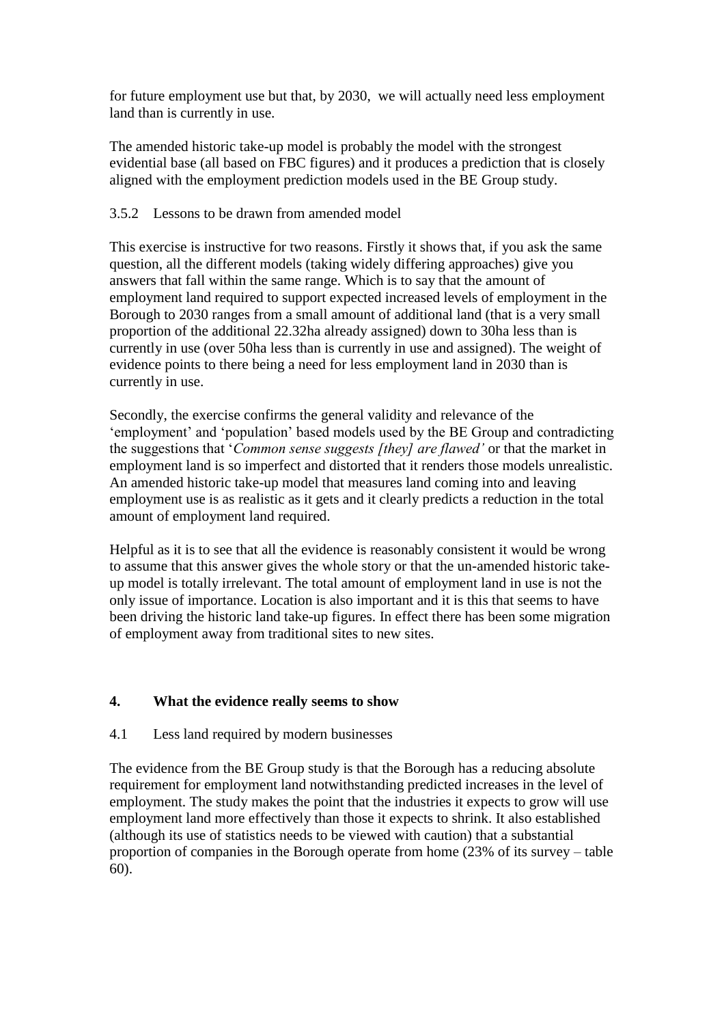for future employment use but that, by 2030, we will actually need less employment land than is currently in use.

The amended historic take-up model is probably the model with the strongest evidential base (all based on FBC figures) and it produces a prediction that is closely aligned with the employment prediction models used in the BE Group study.

#### 3.5.2 Lessons to be drawn from amended model

This exercise is instructive for two reasons. Firstly it shows that, if you ask the same question, all the different models (taking widely differing approaches) give you answers that fall within the same range. Which is to say that the amount of employment land required to support expected increased levels of employment in the Borough to 2030 ranges from a small amount of additional land (that is a very small proportion of the additional 22.32ha already assigned) down to 30ha less than is currently in use (over 50ha less than is currently in use and assigned). The weight of evidence points to there being a need for less employment land in 2030 than is currently in use.

Secondly, the exercise confirms the general validity and relevance of the 'employment' and 'population' based models used by the BE Group and contradicting the suggestions that '*Common sense suggests [they] are flawed'* or that the market in employment land is so imperfect and distorted that it renders those models unrealistic. An amended historic take-up model that measures land coming into and leaving employment use is as realistic as it gets and it clearly predicts a reduction in the total amount of employment land required.

Helpful as it is to see that all the evidence is reasonably consistent it would be wrong to assume that this answer gives the whole story or that the un-amended historic takeup model is totally irrelevant. The total amount of employment land in use is not the only issue of importance. Location is also important and it is this that seems to have been driving the historic land take-up figures. In effect there has been some migration of employment away from traditional sites to new sites.

# **4. What the evidence really seems to show**

# 4.1 Less land required by modern businesses

The evidence from the BE Group study is that the Borough has a reducing absolute requirement for employment land notwithstanding predicted increases in the level of employment. The study makes the point that the industries it expects to grow will use employment land more effectively than those it expects to shrink. It also established (although its use of statistics needs to be viewed with caution) that a substantial proportion of companies in the Borough operate from home (23% of its survey – table 60).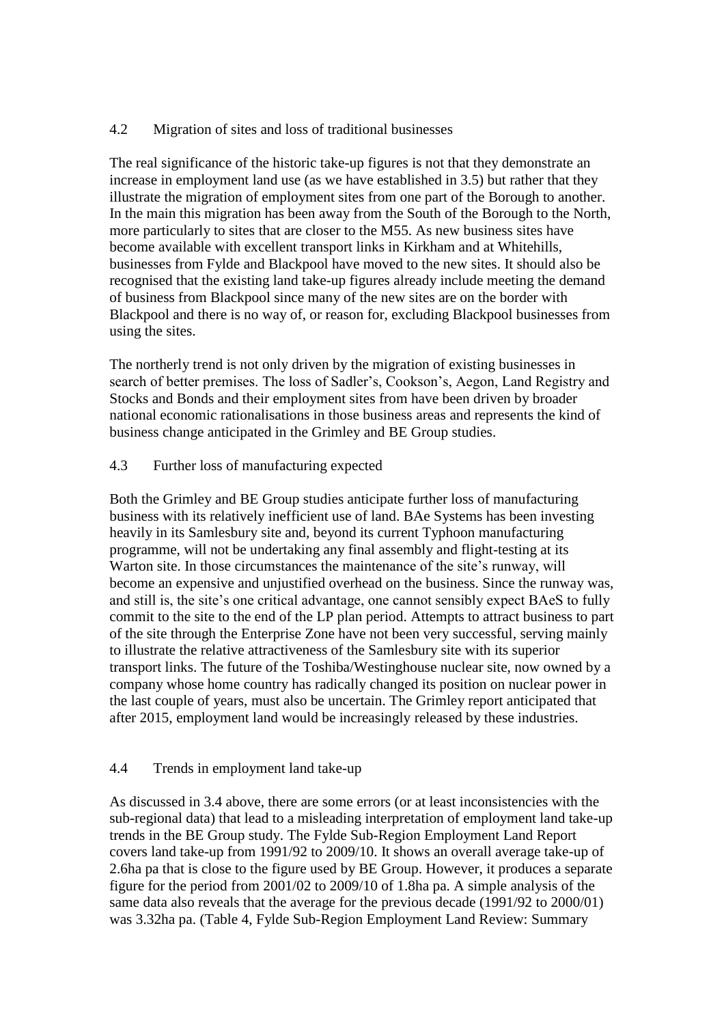#### 4.2 Migration of sites and loss of traditional businesses

The real significance of the historic take-up figures is not that they demonstrate an increase in employment land use (as we have established in 3.5) but rather that they illustrate the migration of employment sites from one part of the Borough to another. In the main this migration has been away from the South of the Borough to the North, more particularly to sites that are closer to the M55. As new business sites have become available with excellent transport links in Kirkham and at Whitehills, businesses from Fylde and Blackpool have moved to the new sites. It should also be recognised that the existing land take-up figures already include meeting the demand of business from Blackpool since many of the new sites are on the border with Blackpool and there is no way of, or reason for, excluding Blackpool businesses from using the sites.

The northerly trend is not only driven by the migration of existing businesses in search of better premises. The loss of Sadler's, Cookson's, Aegon, Land Registry and Stocks and Bonds and their employment sites from have been driven by broader national economic rationalisations in those business areas and represents the kind of business change anticipated in the Grimley and BE Group studies.

#### 4.3 Further loss of manufacturing expected

Both the Grimley and BE Group studies anticipate further loss of manufacturing business with its relatively inefficient use of land. BAe Systems has been investing heavily in its Samlesbury site and, beyond its current Typhoon manufacturing programme, will not be undertaking any final assembly and flight-testing at its Warton site. In those circumstances the maintenance of the site's runway, will become an expensive and unjustified overhead on the business. Since the runway was, and still is, the site's one critical advantage, one cannot sensibly expect BAeS to fully commit to the site to the end of the LP plan period. Attempts to attract business to part of the site through the Enterprise Zone have not been very successful, serving mainly to illustrate the relative attractiveness of the Samlesbury site with its superior transport links. The future of the Toshiba/Westinghouse nuclear site, now owned by a company whose home country has radically changed its position on nuclear power in the last couple of years, must also be uncertain. The Grimley report anticipated that after 2015, employment land would be increasingly released by these industries.

#### 4.4 Trends in employment land take-up

As discussed in 3.4 above, there are some errors (or at least inconsistencies with the sub-regional data) that lead to a misleading interpretation of employment land take-up trends in the BE Group study. The Fylde Sub-Region Employment Land Report covers land take-up from 1991/92 to 2009/10. It shows an overall average take-up of 2.6ha pa that is close to the figure used by BE Group. However, it produces a separate figure for the period from 2001/02 to 2009/10 of 1.8ha pa. A simple analysis of the same data also reveals that the average for the previous decade (1991/92 to 2000/01) was 3.32ha pa. (Table 4, Fylde Sub-Region Employment Land Review: Summary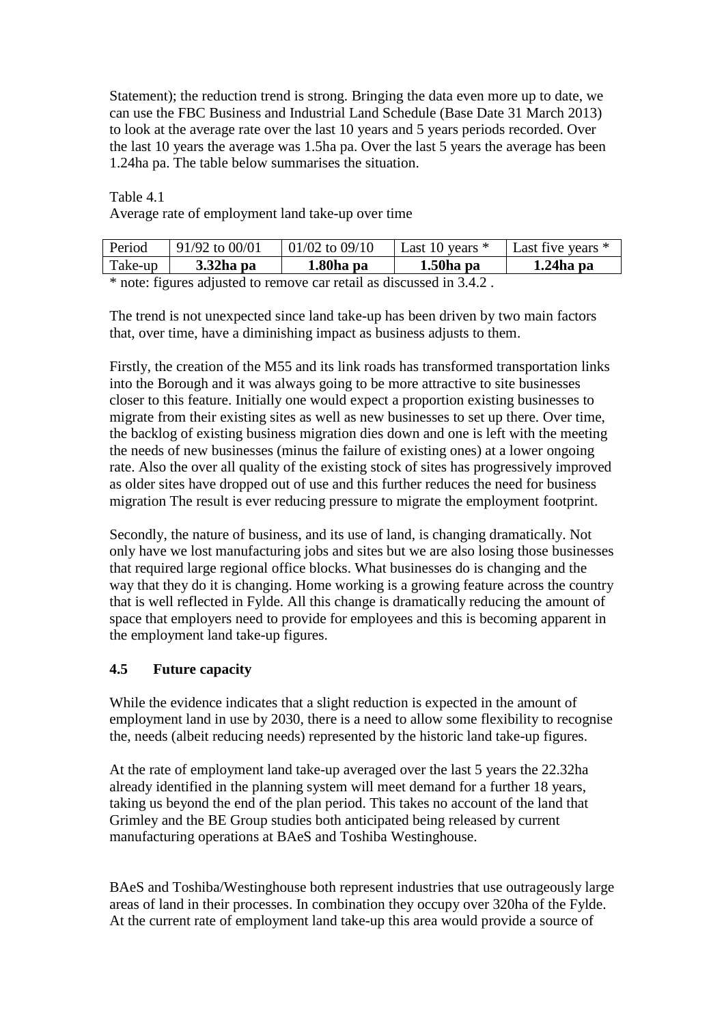Statement); the reduction trend is strong. Bringing the data even more up to date, we can use the FBC Business and Industrial Land Schedule (Base Date 31 March 2013) to look at the average rate over the last 10 years and 5 years periods recorded. Over the last 10 years the average was 1.5ha pa. Over the last 5 years the average has been 1.24ha pa. The table below summarises the situation.

Table 4.1

Average rate of employment land take-up over time

| Period       | $91/92$ to 00/01 | $ 01/02$ to 09/10 | Last 10 years $*$ | Last five years * |
|--------------|------------------|-------------------|-------------------|-------------------|
| Take-up      | $3.32$ ha pa     | 1.80ha pa         | $1.50ha$ pa       | $1.24$ ha pa      |
| $\mathbf{d}$ |                  |                   | $\cdots$ $\cdots$ |                   |

\* note: figures adjusted to remove car retail as discussed in 3.4.2 .

The trend is not unexpected since land take-up has been driven by two main factors that, over time, have a diminishing impact as business adjusts to them.

Firstly, the creation of the M55 and its link roads has transformed transportation links into the Borough and it was always going to be more attractive to site businesses closer to this feature. Initially one would expect a proportion existing businesses to migrate from their existing sites as well as new businesses to set up there. Over time, the backlog of existing business migration dies down and one is left with the meeting the needs of new businesses (minus the failure of existing ones) at a lower ongoing rate. Also the over all quality of the existing stock of sites has progressively improved as older sites have dropped out of use and this further reduces the need for business migration The result is ever reducing pressure to migrate the employment footprint.

Secondly, the nature of business, and its use of land, is changing dramatically. Not only have we lost manufacturing jobs and sites but we are also losing those businesses that required large regional office blocks. What businesses do is changing and the way that they do it is changing. Home working is a growing feature across the country that is well reflected in Fylde. All this change is dramatically reducing the amount of space that employers need to provide for employees and this is becoming apparent in the employment land take-up figures.

# **4.5 Future capacity**

While the evidence indicates that a slight reduction is expected in the amount of employment land in use by 2030, there is a need to allow some flexibility to recognise the, needs (albeit reducing needs) represented by the historic land take-up figures.

At the rate of employment land take-up averaged over the last 5 years the 22.32ha already identified in the planning system will meet demand for a further 18 years, taking us beyond the end of the plan period. This takes no account of the land that Grimley and the BE Group studies both anticipated being released by current manufacturing operations at BAeS and Toshiba Westinghouse.

BAeS and Toshiba/Westinghouse both represent industries that use outrageously large areas of land in their processes. In combination they occupy over 320ha of the Fylde. At the current rate of employment land take-up this area would provide a source of